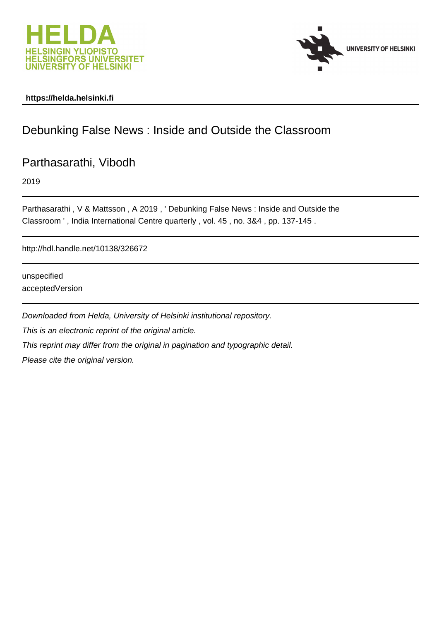



### **https://helda.helsinki.fi**

# Debunking False News : Inside and Outside the Classroom

## Parthasarathi, Vibodh

2019

Parthasarathi , V & Mattsson , A 2019 , ' Debunking False News : Inside and Outside the Classroom ' , India International Centre quarterly , vol. 45 , no. 3&4 , pp. 137-145 .

http://hdl.handle.net/10138/326672

unspecified acceptedVersion

Downloaded from Helda, University of Helsinki institutional repository. This is an electronic reprint of the original article. This reprint may differ from the original in pagination and typographic detail. Please cite the original version.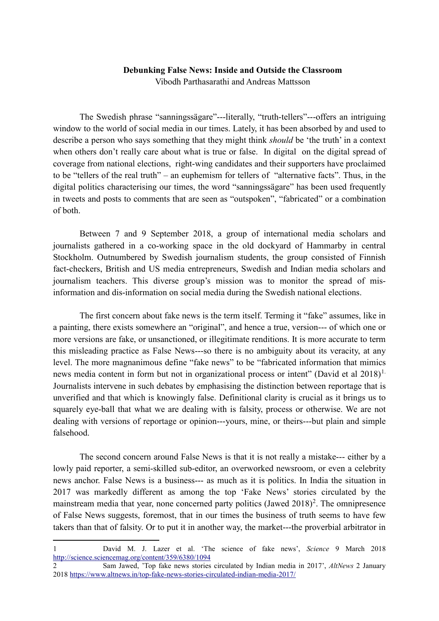### **Debunking False News: Inside and Outside the Classroom** Vibodh Parthasarathi and Andreas Mattsson

The Swedish phrase "sanningssägare"---literally, "truth-tellers"---offers an intriguing window to the world of social media in our times. Lately, it has been absorbed by and used to describe a person who says something that they might think *should* be 'the truth' in a context when others don't really care about what is true or false. In digital on the digital spread of coverage from national elections, right-wing candidates and their supporters have proclaimed to be "tellers of the real truth" – an euphemism for tellers of "alternative facts". Thus, in the digital politics characterising our times, the word "sanningssägare" has been used frequently in tweets and posts to comments that are seen as "outspoken", "fabricated" or a combination of both.

Between 7 and 9 September 2018, a group of international media scholars and journalists gathered in a co-working space in the old dockyard of Hammarby in central Stockholm. Outnumbered by Swedish journalism students, the group consisted of Finnish fact-checkers, British and US media entrepreneurs, Swedish and Indian media scholars and journalism teachers. This diverse group's mission was to monitor the spread of misinformation and dis-information on social media during the Swedish national elections.

The first concern about fake news is the term itself. Terming it "fake" assumes, like in a painting, there exists somewhere an "original", and hence a true, version--- of which one or more versions are fake, or unsanctioned, or illegitimate renditions. It is more accurate to term this misleading practice as False News---so there is no ambiguity about its veracity, at any level. The more magnanimous define "fake news" to be "fabricated information that mimics news media content in form but not in organizational process or intent" (David et al  $2018$  $2018$  $2018$ )<sup>1.</sup> Journalists intervene in such debates by emphasising the distinction between reportage that is unverified and that which is knowingly false. Definitional clarity is crucial as it brings us to squarely eye-ball that what we are dealing with is falsity, process or otherwise. We are not dealing with versions of reportage or opinion---yours, mine, or theirs---but plain and simple falsehood.

The second concern around False News is that it is not really a mistake--- either by a lowly paid reporter, a semi-skilled sub-editor, an overworked newsroom, or even a celebrity news anchor. False News is a business--- as much as it is politics. In India the situation in 2017 was markedly different as among the top 'Fake News' stories circulated by the mainstream media that year, none concerned party politics (Jawed  $2018$  $2018$ )<sup>2</sup>. The omnipresence of False News suggests, foremost, that in our times the business of truth seems to have few takers than that of falsity. Or to put it in another way, the market---the proverbial arbitrator in

<u>.</u>

<span id="page-1-0"></span><sup>1</sup> David M. J. Lazer et al. 'The science of fake news', *Science* 9 March 2018 <http://science.sciencemag.org/content/359/6380/1094>

<span id="page-1-1"></span><sup>2</sup> Sam Jawed, 'Top fake news stories circulated by Indian media in 2017', *AltNews* 2 January 201[8 https://www.altnews.in/top-fake-news-stories-circulated-indian-media-2017/](https://www.altnews.in/top-fake-news-stories-circulated-indian-media-2017/)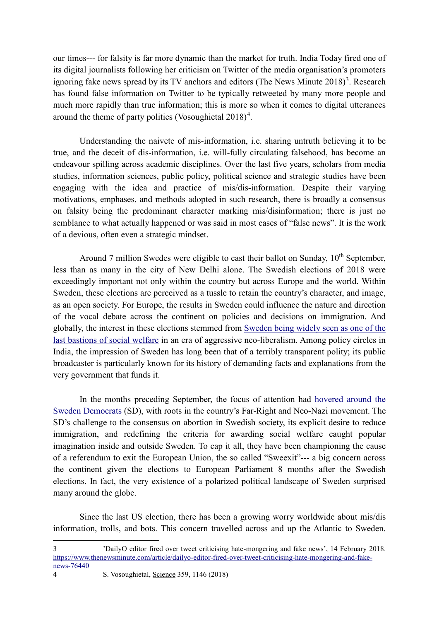our times--- for falsity is far more dynamic than the market for truth. India Today fired one of its digital journalists following her criticism on Twitter of the media organisation's promoters ignoring fake news spread by its TV anchors and editors (The News Minute  $2018$ )<sup>[3](#page-2-0)</sup>. Research has found false information on Twitter to be typically retweeted by many more people and much more rapidly than true information; this is more so when it comes to digital utterances around the theme of party politics (Vosoughietal  $2018)^4$  $2018)^4$ .

Understanding the naivete of mis-information, i.e. sharing untruth believing it to be true, and the deceit of dis-information, i.e. will-fully circulating falsehood, has become an endeavour spilling across academic disciplines. Over the last five years, scholars from media studies, information sciences, public policy, political science and strategic studies have been engaging with the idea and practice of mis/dis-information. Despite their varying motivations, emphases, and methods adopted in such research, there is broadly a consensus on falsity being the predominant character marking mis/disinformation; there is just no semblance to what actually happened or was said in most cases of "false news". It is the work of a devious, often even a strategic mindset.

Around 7 million Swedes were eligible to cast their ballot on Sunday,  $10<sup>th</sup>$  September, less than as many in the city of New Delhi alone. The Swedish elections of 2018 were exceedingly important not only within the country but across Europe and the world. Within Sweden, these elections are perceived as a tussle to retain the country's character, and image, as an open society. For Europe, the results in Sweden could influence the nature and direction of the vocal debate across the continent on policies and decisions on immigration. And globally, the interest in these elections stemmed from Sweden being widely seen as one of the last bastions of social welfare in an era of aggressive neo-liberalism. Among policy circles in India, the impression of Sweden has long been that of a terribly transparent polity; its public broadcaster is particularly known for its history of demanding facts and explanations from the very government that funds it.

In the months preceding September, the focus of attention had hovered around the Sweden Democrats (SD), with roots in the country's Far-Right and Neo-Nazi movement. The SD's challenge to the consensus on abortion in Swedish society, its explicit desire to reduce immigration, and redefining the criteria for awarding social welfare caught popular imagination inside and outside Sweden. To cap it all, they have been championing the cause of a referendum to exit the European Union, the so called "Sweexit"--- a big concern across the continent given the elections to European Parliament 8 months after the Swedish elections. In fact, the very existence of a polarized political landscape of Sweden surprised many around the globe.

Since the last US election, there has been a growing worry worldwide about mis/dis information, trolls, and bots. This concern travelled across and up the Atlantic to Sweden.

<span id="page-2-1"></span>4 S. Vosoughietal, Science 359, 1146 (2018)

<u>.</u>

<span id="page-2-0"></span><sup>3</sup> 'DailyO editor fired over tweet criticising hate-mongering and fake news', 14 February 2018. [https://www.thenewsminute.com/article/dailyo-editor-fired-over-tweet-criticising-hate-mongering-and-fake](https://www.thenewsminute.com/article/dailyo-editor-fired-over-tweet-criticising-hate-mongering-and-fake-news-76440)[news-76440](https://www.thenewsminute.com/article/dailyo-editor-fired-over-tweet-criticising-hate-mongering-and-fake-news-76440)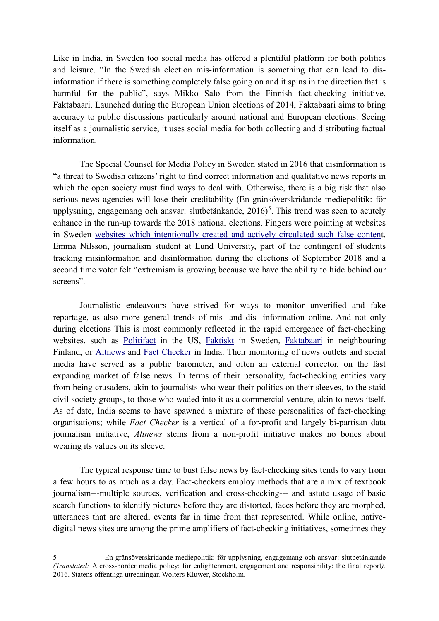Like in India, in Sweden too social media has offered a plentiful platform for both politics and leisure. "In the Swedish election mis-information is something that can lead to disinformation if there is something completely false going on and it spins in the direction that is harmful for the public", says Mikko Salo from the Finnish fact-checking initiative, Faktabaari. Launched during the European Union elections of 2014, Faktabaari aims to bring accuracy to public discussions particularly around national and European elections. Seeing itself as a journalistic service, it uses social media for both collecting and distributing factual information.

The Special Counsel for Media Policy in Sweden stated in 2016 that disinformation is "a threat to Swedish citizens' right to find correct information and qualitative news reports in which the open society must find ways to deal with. Otherwise, there is a big risk that also serious news agencies will lose their creditability (En gränsöverskridande mediepolitik: för upplysning, engagemang och ansvar: slutbetänkande,  $2016$ <sup>[5](#page-3-0)</sup>. This trend was seen to acutely enhance in the run-up towards the 2018 national elections. Fingers were pointing at websites in Sweden [websites which intentionally created and actively circulated such false content](https://www.sydsvenskan.se/2018-09-06/svenskarna-delar-flest-opalitliga-nyheter). Emma Nilsson, journalism student at Lund University, part of the contingent of students tracking misinformation and disinformation during the elections of September 2018 and a second time voter felt "extremism is growing because we have the ability to hide behind our screens".

Journalistic endeavours have strived for ways to monitor unverified and fake reportage, as also more general trends of mis- and dis- information online. And not only during elections This is most commonly reflected in the rapid emergence of fact-checking websites, such as [Politifact](http://politifact.com/) in the US, [Faktiskt](http://faktiskt.se/) in Sweden, [Faktabaari](http://faktabaari.fi/) in neighbouring Finland, or [Altnews](https://www.altnews.in/) and [Fact Checker](http://factchecker.in/) in India. Their monitoring of news outlets and social media have served as a public barometer, and often an external corrector, on the fast expanding market of false news. In terms of their personality, fact-checking entities vary from being crusaders, akin to journalists who wear their politics on their sleeves, to the staid civil society groups, to those who waded into it as a commercial venture, akin to news itself. As of date, India seems to have spawned a mixture of these personalities of fact-checking organisations; while *Fact Checker* is a vertical of a for-profit and largely bi-partisan data journalism initiative, *Altnews* stems from a non-profit initiative makes no bones about wearing its values on its sleeve.

The typical response time to bust false news by fact-checking sites tends to vary from a few hours to as much as a day. Fact-checkers employ methods that are a mix of textbook journalism---multiple sources, verification and cross-checking--- and astute usage of basic search functions to identify pictures before they are distorted, faces before they are morphed, utterances that are altered, events far in time from that represented. While online, nativedigital news sites are among the prime amplifiers of fact-checking initiatives, sometimes they

1

<span id="page-3-0"></span><sup>5</sup> En gränsöverskridande mediepolitik: för upplysning, engagemang och ansvar: slutbetänkande *(Translated:* A cross-border media policy: for enlightenment, engagement and responsibility: the final report*).*  2016. Statens offentliga utredningar. Wolters Kluwer, Stockholm.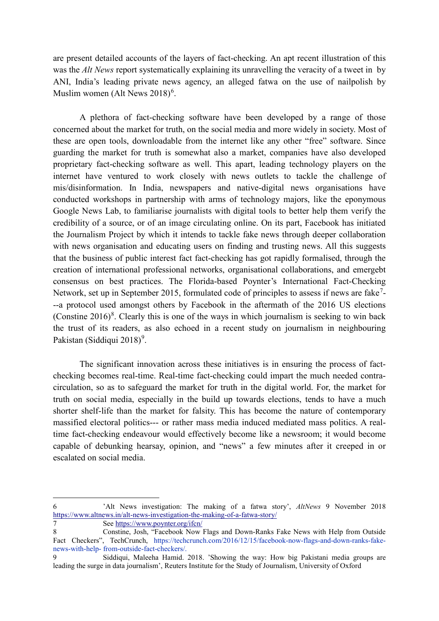are present detailed accounts of the layers of fact-checking. An apt recent illustration of this was the *Alt News* report systematically explaining its unravelling the veracity of a tweet in by ANI, India's leading private news agency, an alleged fatwa on the use of nailpolish by Muslim women (Alt News  $2018$ <sup>[6](#page-4-0)</sup>.

A plethora of fact-checking software have been developed by a range of those concerned about the market for truth, on the social media and more widely in society. Most of these are open tools, downloadable from the internet like any other "free" software. Since guarding the market for truth is somewhat also a market, companies have also developed proprietary fact-checking software as well. This apart, leading technology players on the internet have ventured to work closely with news outlets to tackle the challenge of mis/disinformation. In India, newspapers and native-digital news organisations have conducted workshops in partnership with arms of technology majors, like the eponymous Google News Lab, to familiarise journalists with digital tools to better help them verify the credibility of a source, or of an image circulating online. On its part, Facebook has initiated the Journalism Project by which it intends to tackle fake news through deeper collaboration with news organisation and educating users on finding and trusting news. All this suggests that the business of public interest fact fact-checking has got rapidly formalised, through the creation of international professional networks, organisational collaborations, and emergebt consensus on best practices. The Florida-based Poynter's International Fact-Checking Network, set up in September 2015, formulated code of principles to assess if news are fake<sup>[7](#page-4-1)</sup>---a protocol used amongst others by Facebook in the aftermath of the 2016 US elections (Constine  $2016$ <sup>[8](#page-4-2)</sup>. Clearly this is one of the ways in which journalism is seeking to win back the trust of its readers, as also echoed in a recent study on journalism in neighbouring Pakistan (Siddiqui 2018)<sup>[9](#page-4-3)</sup>.

The significant innovation across these initiatives is in ensuring the process of factchecking becomes real-time. Real-time fact-checking could impart the much needed contracirculation, so as to safeguard the market for truth in the digital world. For, the market for truth on social media, especially in the build up towards elections, tends to have a much shorter shelf-life than the market for falsity. This has become the nature of contemporary massified electoral politics--- or rather mass media induced mediated mass politics. A realtime fact-checking endeavour would effectively become like a newsroom; it would become capable of debunking hearsay, opinion, and "news" a few minutes after it creeped in or escalated on social media.

1

<span id="page-4-0"></span><sup>6</sup> 'Alt News investigation: The making of a fatwa story', *AltNews* 9 November 2018 <https://www.altnews.in/alt-news-investigation-the-making-of-a-fatwa-story/>

<span id="page-4-1"></span><sup>7</sup> Se[e https://www.poynter.org/ifcn/](https://www.poynter.org/ifcn/)

<span id="page-4-2"></span><sup>8</sup> Constine, Josh, "Facebook Now Flags and Down-Ranks Fake News with Help from Outside Fact Checkers", TechCrunch, https://techcrunch.com/2016/12/15/facebook-now-flags-and-down-ranks-fakenews-with-help- from-outside-fact-checkers/.

<span id="page-4-3"></span><sup>9</sup> Siddiqui, Maleeha Hamid. 2018. 'Showing the way: How big Pakistani media groups are leading the surge in data journalism', Reuters Institute for the Study of Journalism, University of Oxford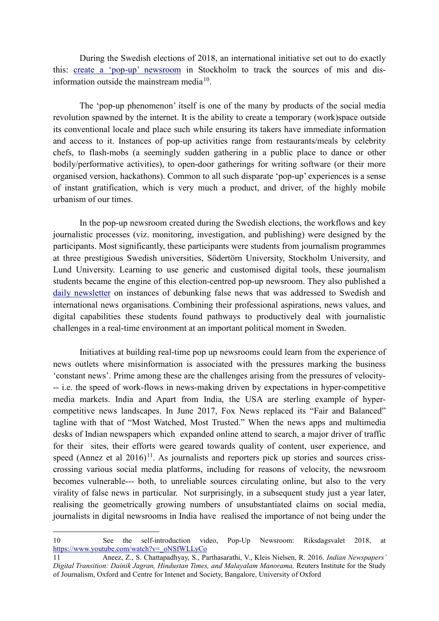During the Swedish elections of 2018, an international initiative set out to do exactly this: [create a 'pop-up' newsroom](https://www.youtube.com/watch?v=_oNSfWLLyCo) in Stockholm to track the sources of mis and disinformation outside the mainstream media $10$ .

The 'pop-up phenomenon' itself is one of the many by products of the social media revolution spawned by the internet. It is the ability to create a temporary (work)space outside its conventional locale and place such while ensuring its takers have immediate information and access to it. Instances of pop-up activities range from restaurants/meals by celebrity chefs, to flash-mobs (a seemingly sudden gathering in a public place to dance or other bodily/performative activities), to open-door gatherings for writing software (or their more organised version, hackathons). Common to all such disparate 'pop-up' experiences is a sense of instant gratification, which is very much a product, and driver, of the highly mobile urbanism of our times.

In the pop-up newsroom created during the Swedish elections, the workflows and key journalistic processes (viz. monitoring, investigation, and publishing) were designed by the participants. Most significantly, these participants were students from journalism programmes at three prestigious Swedish universities, Södertörn University, Stockholm University, and Lund University. Learning to use generic and customised digital tools, these journalism students became the engine of this election-centred pop-up newsroom. They also published a [daily newsletter](https://medium.com/popupnews/announcing-pop-up-newsroom-riksdagsvalet-2018-cc219b6f6464) on instances of debunking false news that was addressed to Swedish and international news organisations. Combining their professional aspirations, news values, and digital capabilities these students found pathways to productively deal with journalistic challenges in a real-time environment at an important political moment in Sweden.

Initiatives at building real-time pop up newsrooms could learn from the experience of news outlets where misinformation is associated with the pressures marking the business 'constant news'. Prime among these are the challenges arising from the pressures of velocity- -- i.e. the speed of work-flows in news-making driven by expectations in hyper-competitive media markets. India and Apart from India, the USA are sterling example of hypercompetitive news landscapes. In June 2017, Fox News replaced its "Fair and Balanced" tagline with that of "Most Watched, Most Trusted." When the news apps and multimedia desks of Indian newspapers which expanded online attend to search, a major driver of traffic for their sites, their efforts were geared towards quality of content, user experience, and speed (Annez et al  $2016$ <sup>[11](#page-5-1)</sup>. As journalists and reporters pick up stories and sources crisscrossing various social media platforms, including for reasons of velocity, the newsroom becomes vulnerable--- both, to unreliable sources circulating online, but also to the very virality of false news in particular. Not surprisingly, in a subsequent study just a year later, realising the geometrically growing numbers of unsubstantiated claims on social media, journalists in digital newsrooms in India have realised the importance of not being under the

1

<span id="page-5-0"></span><sup>10</sup> See the self-introduction video, Pop-Up Newsroom: Riksdagsvalet 2018, at [https://www.youtube.com/watch?v=\\_oNSfWLLyCo](https://www.youtube.com/watch?v=_oNSfWLLyCo)

<span id="page-5-1"></span><sup>11</sup> Aneez, Z., S. Chattapadhyay, S., Parthasarathi, V., Kleis Nielsen, R. 2016. *Indian Newspapers' Digital Transition: Dainik Jagran, Hindustan Times, and Malayalam Manorama,* Reuters Institute for the Study of Journalism, Oxford and Centre for Intenet and Society, Bangalore, University of Oxford